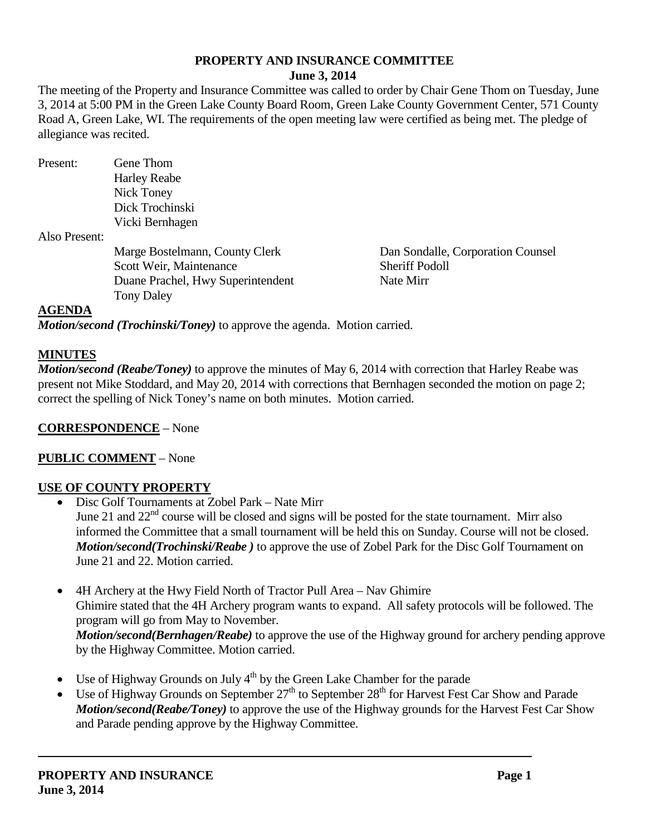# **PROPERTY AND INSURANCE COMMITTEE**

## **June 3, 2014**

The meeting of the Property and Insurance Committee was called to order by Chair Gene Thom on Tuesday, June 3, 2014 at 5:00 PM in the Green Lake County Board Room, Green Lake County Government Center, 571 County Road A, Green Lake, WI. The requirements of the open meeting law were certified as being met. The pledge of allegiance was recited.

Present: Gene Thom Harley Reabe Nick Toney Dick Trochinski Vicki Bernhagen

Also Present:

Marge Bostelmann, County Clerk Dan Sondalle, Corporation Counsel Scott Weir, Maintenance Sheriff Podoll Duane Prachel, Hwy Superintendent Nate Mirr Tony Daley

#### **AGENDA**

*Motion/second (Trochinski/Toney)* to approve the agenda. Motion carried.

#### **MINUTES**

*Motion/second (Reabe/Toney)* to approve the minutes of May 6, 2014 with correction that Harley Reabe was present not Mike Stoddard, and May 20, 2014 with corrections that Bernhagen seconded the motion on page 2; correct the spelling of Nick Toney's name on both minutes. Motion carried.

# **CORRESPONDENCE** – None

# **PUBLIC COMMENT** – None

# **USE OF COUNTY PROPERTY**

- Disc Golf Tournaments at Zobel Park Nate Mirr June 21 and 22<sup>nd</sup> course will be closed and signs will be posted for the state tournament. Mirr also informed the Committee that a small tournament will be held this on Sunday. Course will not be closed. *Motion/second(Trochinski/Reabe )* to approve the use of Zobel Park for the Disc Golf Tournament on June 21 and 22. Motion carried.
- 4H Archery at the Hwy Field North of Tractor Pull Area Nav Ghimire Ghimire stated that the 4H Archery program wants to expand. All safety protocols will be followed. The program will go from May to November. *Motion/second(Bernhagen/Reabe)* to approve the use of the Highway ground for archery pending approve by the Highway Committee. Motion carried.
- Use of Highway Grounds on July  $4<sup>th</sup>$  by the Green Lake Chamber for the parade
- Use of Highway Grounds on September  $27<sup>th</sup>$  to September  $28<sup>th</sup>$  for Harvest Fest Car Show and Parade *Motion/second(Reabe/Toney)* to approve the use of the Highway grounds for the Harvest Fest Car Show and Parade pending approve by the Highway Committee.